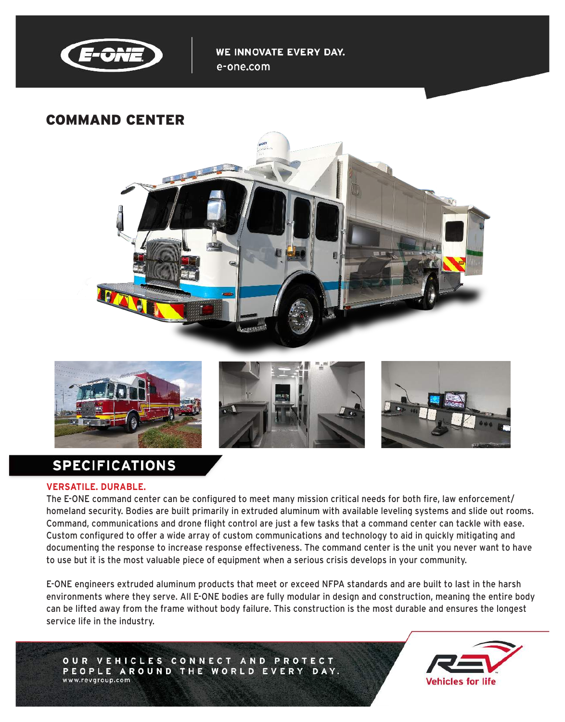

WE INNOVATE EVERY DAY. e-one.com

## COMMAND CENTER





# **SPECIFICATIONS**

#### **VERSATILE. DURABLE.**

The E-ONE command center can be configured to meet many mission critical needs for both fire, law enforcement/ homeland security. Bodies are built primarily in extruded aluminum with available leveling systems and slide out rooms. Command, communications and drone flight control are just a few tasks that a command center can tackle with ease. Custom configured to offer a wide array of custom communications and technology to aid in quickly mitigating and documenting the response to increase response effectiveness. The command center is the unit you never want to have to use but it is the most valuable piece of equipment when a serious crisis develops in your community.

E-ONE engineers extruded aluminum products that meet or exceed NFPA standards and are built to last in the harsh environments where they serve. All E-ONE bodies are fully modular in design and construction, meaning the entire body can be lifted away from the frame without body failure. This construction is the most durable and ensures the longest service life in the industry.

OUR VEHICLES CONNECT AND PROTECT PEOPLE AROUND THE WORLD EVERY DAY. www.revgroup.com